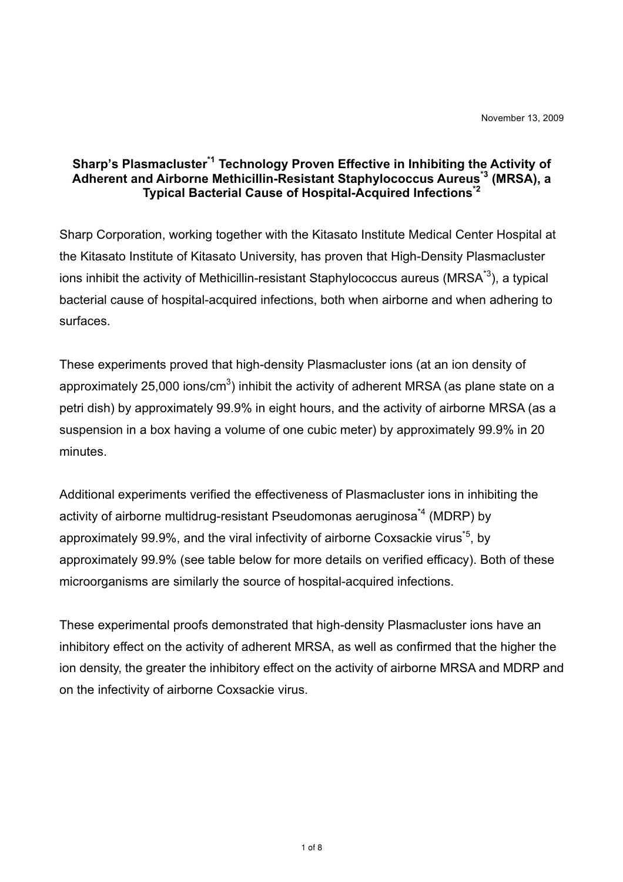## **Sharp's Plasmacluster\*1 Technology Proven Effective in Inhibiting the Activity of Adherent and Airborne Methicillin-Resistant Staphylococcus Aureus\*3 (MRSA), a Typical Bacterial Cause of Hospital-Acquired Infections\*2**

Sharp Corporation, working together with the Kitasato Institute Medical Center Hospital at the Kitasato Institute of Kitasato University, has proven that High-Density Plasmacluster ions inhibit the activity of Methicillin-resistant Staphylococcus aureus (MRSA $^{\star 3}$ ), a typical bacterial cause of hospital-acquired infections, both when airborne and when adhering to surfaces.

These experiments proved that high-density Plasmacluster ions (at an ion density of approximately 25,000 ions/cm $^3$ ) inhibit the activity of adherent MRSA (as plane state on a petri dish) by approximately 99.9% in eight hours, and the activity of airborne MRSA (as a suspension in a box having a volume of one cubic meter) by approximately 99.9% in 20 minutes.

Additional experiments verified the effectiveness of Plasmacluster ions in inhibiting the activity of airborne multidrug-resistant Pseudomonas aeruginosa<sup>\*4</sup> (MDRP) by approximately 99.9%, and the viral infectivity of airborne Coxsackie virus<sup> $5$ </sup>, by approximately 99.9% (see table below for more details on verified efficacy). Both of these microorganisms are similarly the source of hospital-acquired infections.

These experimental proofs demonstrated that high-density Plasmacluster ions have an inhibitory effect on the activity of adherent MRSA, as well as confirmed that the higher the ion density, the greater the inhibitory effect on the activity of airborne MRSA and MDRP and on the infectivity of airborne Coxsackie virus.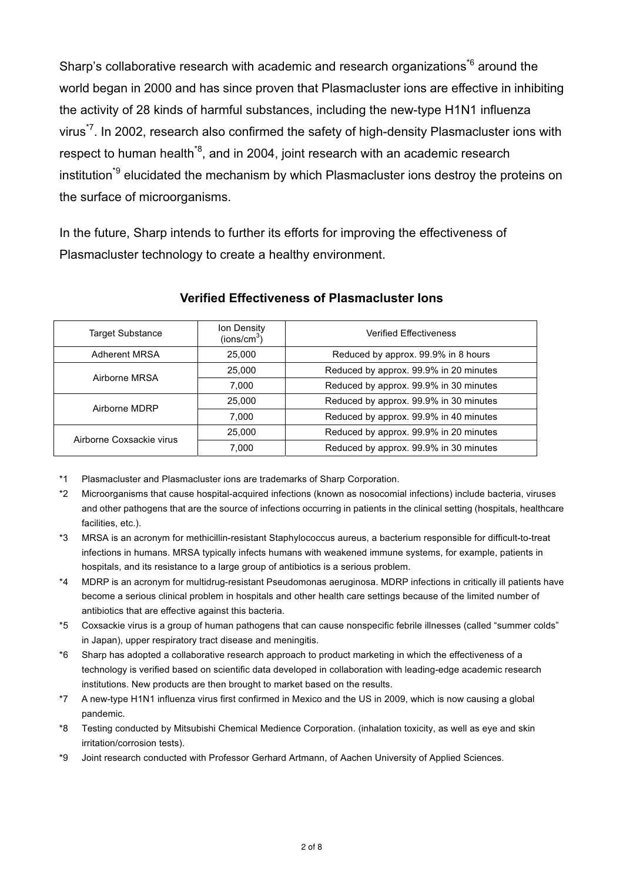Sharp's collaborative research with academic and research organizations<sup>\*6</sup> around the world began in 2000 and has since proven that Plasmacluster ions are effective in inhibiting the activity of 28 kinds of harmful substances, including the new-type H1N1 influenza virus<sup>\*7</sup>. In 2002, research also confirmed the safety of high-density Plasmacluster ions with respect to human health<sup>\*8</sup>, and in 2004, joint research with an academic research institution<sup>\*9</sup> elucidated the mechanism by which Plasmacluster ions destroy the proteins on the surface of microorganisms.

In the future, Sharp intends to further its efforts for improving the effectiveness of Plasmacluster technology to create a healthy environment.

| <b>Target Substance</b>  | Ion Density<br>(ins/cm <sup>3</sup> ) | <b>Verified Effectiveness</b>          |
|--------------------------|---------------------------------------|----------------------------------------|
| <b>Adherent MRSA</b>     | 25,000                                | Reduced by approx. 99.9% in 8 hours    |
| Airborne MRSA            | 25,000                                | Reduced by approx. 99.9% in 20 minutes |
|                          | 7.000                                 | Reduced by approx. 99.9% in 30 minutes |
| Airborne MDRP            | 25,000                                | Reduced by approx. 99.9% in 30 minutes |
|                          | 7.000                                 | Reduced by approx. 99.9% in 40 minutes |
| Airborne Coxsackie virus | 25.000                                | Reduced by approx. 99.9% in 20 minutes |
|                          | 7.000                                 | Reduced by approx. 99.9% in 30 minutes |

### **Verified Effectiveness of Plasmacluster Ions**

- \*1 Plasmacluster and Plasmacluster ions are trademarks of Sharp Corporation.
- \*2 Microorganisms that cause hospital-acquired infections (known as nosocomial infections) include bacteria, viruses and other pathogens that are the source of infections occurring in patients in the clinical setting (hospitals, healthcare facilities, etc.).
- \*3 MRSA is an acronym for methicillin-resistant Staphylococcus aureus, a bacterium responsible for difficult-to-treat infections in humans. MRSA typically infects humans with weakened immune systems, for example, patients in hospitals, and its resistance to a large group of antibiotics is a serious problem.
- \*4 MDRP is an acronym for multidrug-resistant Pseudomonas aeruginosa. MDRP infections in critically ill patients have become a serious clinical problem in hospitals and other health care settings because of the limited number of antibiotics that are effective against this bacteria.
- \*5 Coxsackie virus is a group of human pathogens that can cause nonspecific febrile illnesses (called "summer colds" in Japan), upper respiratory tract disease and meningitis.
- \*6 Sharp has adopted a collaborative research approach to product marketing in which the effectiveness of a technology is verified based on scientific data developed in collaboration with leading-edge academic research institutions. New products are then brought to market based on the results.
- \*7 A new-type H1N1 influenza virus first confirmed in Mexico and the US in 2009, which is now causing a global pandemic.
- \*8 Testing conducted by Mitsubishi Chemical Medience Corporation. (inhalation toxicity, as well as eye and skin irritation/corrosion tests).
- \*9 Joint research conducted with Professor Gerhard Artmann, of Aachen University of Applied Sciences.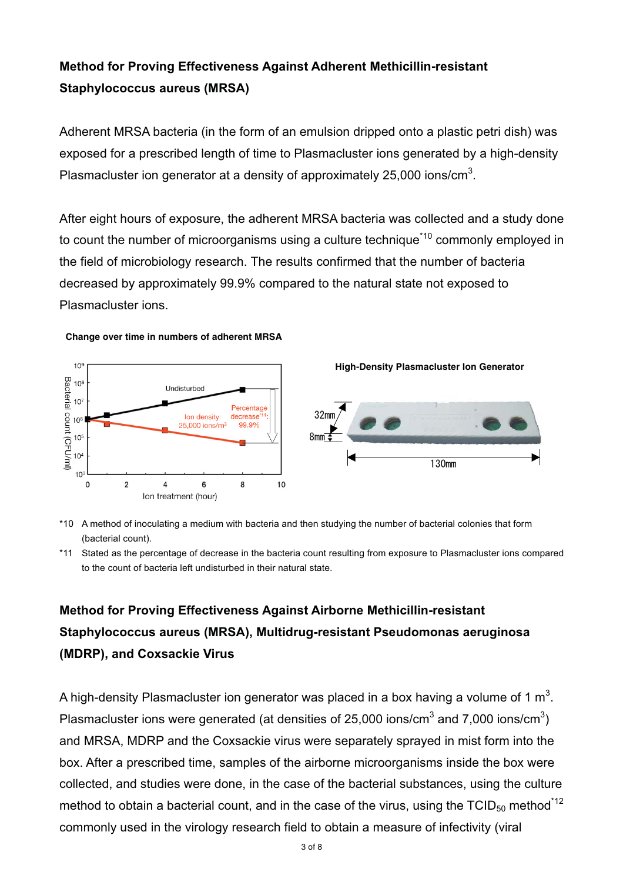## **Method for Proving Effectiveness Against Adherent Methicillin-resistant Staphylococcus aureus (MRSA)**

Adherent MRSA bacteria (in the form of an emulsion dripped onto a plastic petri dish) was exposed for a prescribed length of time to Plasmacluster ions generated by a high-density Plasmacluster ion generator at a density of approximately 25,000 ions/cm<sup>3</sup>.

After eight hours of exposure, the adherent MRSA bacteria was collected and a study done to count the number of microorganisms using a culture technique<sup>\*10</sup> commonly employed in the field of microbiology research. The results confirmed that the number of bacteria decreased by approximately 99.9% compared to the natural state not exposed to Plasmacluster ions.

#### **Change over time in numbers of adherent MRSA**



\*10 A method of inoculating a medium with bacteria and then studying the number of bacterial colonies that form (bacterial count).

\*11 Stated as the percentage of decrease in the bacteria count resulting from exposure to Plasmacluster ions compared to the count of bacteria left undisturbed in their natural state.

# **Method for Proving Effectiveness Against Airborne Methicillin-resistant Staphylococcus aureus (MRSA), Multidrug-resistant Pseudomonas aeruginosa (MDRP), and Coxsackie Virus**

A high-density Plasmacluster ion generator was placed in a box having a volume of 1  $\mathsf{m}^3$ . Plasmacluster ions were generated (at densities of 25,000 ions/cm<sup>3</sup> and 7,000 ions/cm<sup>3</sup>) and MRSA, MDRP and the Coxsackie virus were separately sprayed in mist form into the box. After a prescribed time, samples of the airborne microorganisms inside the box were collected, and studies were done, in the case of the bacterial substances, using the culture method to obtain a bacterial count, and in the case of the virus, using the TCID $_{50}$  method<sup>\*12</sup> commonly used in the virology research field to obtain a measure of infectivity (viral